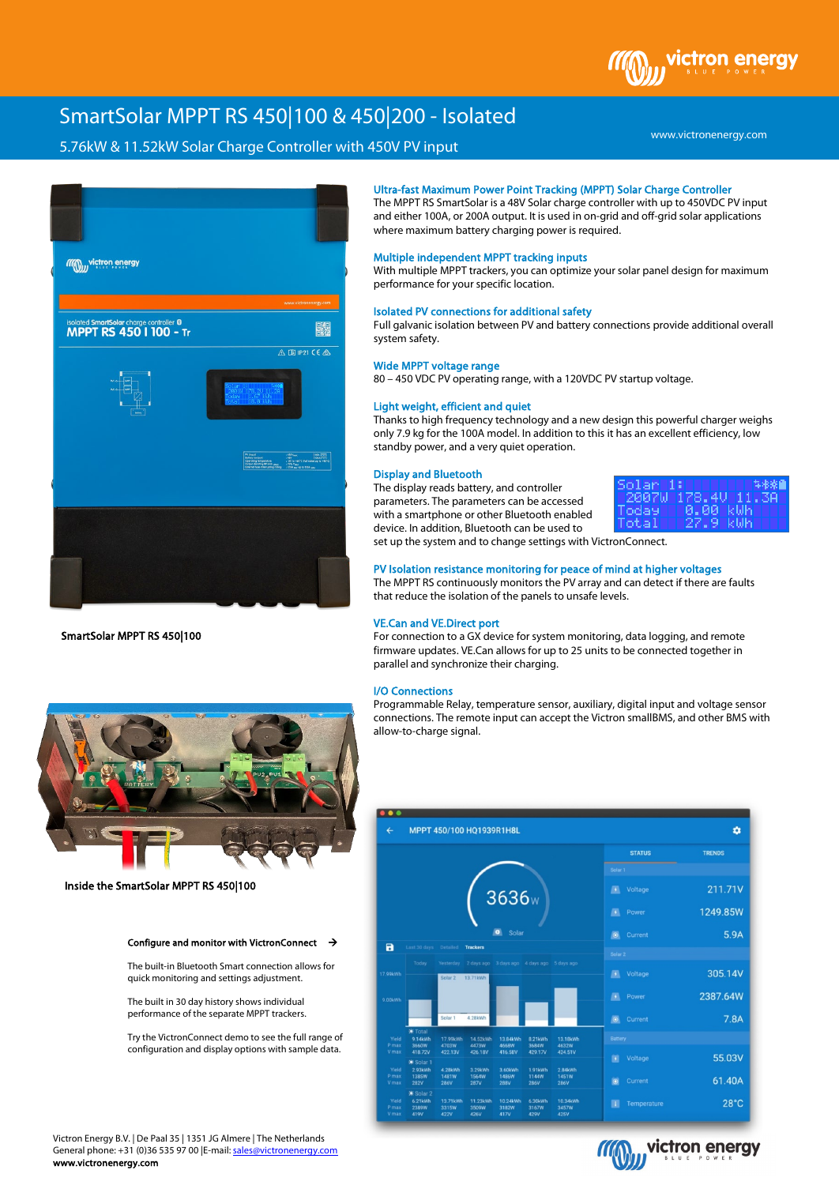# SmartSolar MPPT RS 450|100 & 450|200 - Isolated

## 5.76kW & 11.52kW Solar Charge Controller with 450V PV input



SmartSolar MPPT RS 450|100



Inside the SmartSolar MPPT RS 450|100

## Configure and monitor with VictronConnect  $\rightarrow$

The built-in Bluetooth Smart connection allows for quick monitoring and settings adjustment.

The built in 30 day history shows individual performance of the separate MPPT trackers.

Try the VictronConnect demo to see the full range of configuration and display options with sample data.

Ultra-fast Maximum Power Point Tracking (MPPT) Solar Charge Controller

The MPPT RS SmartSolar is a 48V Solar charge controller with up to 450VDC PV input and either 100A, or 200A output. It is used in on-grid and off-grid solar applications where maximum battery charging power is required.

## Multiple independent MPPT tracking inputs

With multiple MPPT trackers, you can optimize your solar panel design for maximum performance for your specific location.

## Isolated PV connections for additional safety

Full galvanic isolation between PV and battery connections provide additional overall system safety.

#### Wide MPPT voltage range

80 – 450 VDC PV operating range, with a 120VDC PV startup voltage.

## Light weight, efficient and quiet

Thanks to high frequency technology and a new design this powerful charger weighs only 7.9 kg for the 100A model. In addition to this it has an excellent efficiency, low standby power, and a very quiet operation.

#### Display and Bluetooth

The display reads battery, and controller parameters. The parameters can be accessed with a smartphone or other Bluetooth enabled device. In addition, Bluetooth can be used to



set up the system and to change settings with VictronConnect.

## PV Isolation resistance monitoring for peace of mind at higher voltages

The MPPT RS continuously monitors the PV array and can detect if there are faults that reduce the isolation of the panels to unsafe levels.

#### VE.Can and VE.Direct port

For connection to a GX device for system monitoring, data logging, and remote firmware updates. VE.Can allows for up to 25 units to be connected together in parallel and synchronize their charging.

#### I/O Connections

Programmable Relay, temperature sensor, auxiliary, digital input and voltage sensor connections. The remote input can accept the Victron smallBMS, and other BMS with allow-to-charge signal.





Victron Energy B.V. | De Paal 35 | 1351 JG Almere | The Netherlands General phone: +31 (0)36 535 97 00 |E-mail[: sales@victronenergy.com](mailto:sales@victronenergy.com) www.victronenergy.com

## www.victronenergy.com

victron enerav